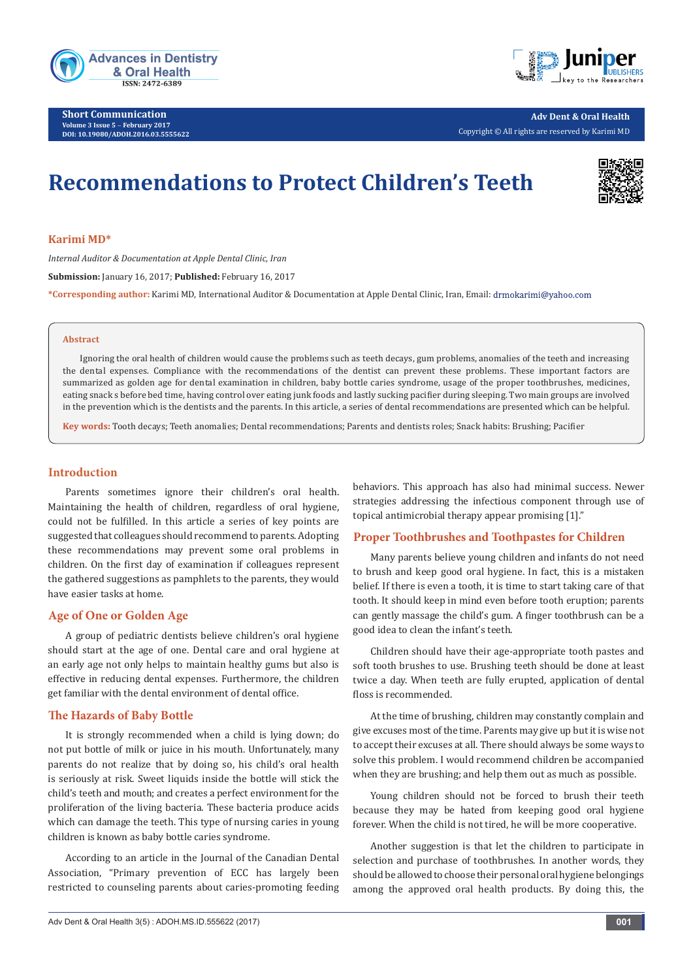

**Short Communication Volume 3 Issue 5** - **February 2017 DOI: [10.19080/ADOH.2016.03.5555622](http://dx.doi.org/10.19080/ADOH.2016.03.5555622
)**



**Adv Dent & Oral Health**  Copyright © All rights are reserved by Karimi MD

# **Recommendations to Protect Children's Teeth**



## **Karimi MD\***

*Internal Auditor & Documentation at Apple Dental Clinic, Iran*  **Submission:** January 16, 2017; **Published:** February 16, 2017 **\*Corresponding author:** Karimi MD, International Auditor & Documentation at Apple Dental Clinic, Iran, Email:

#### **Abstract**

Ignoring the oral health of children would cause the problems such as teeth decays, gum problems, anomalies of the teeth and increasing the dental expenses. Compliance with the recommendations of the dentist can prevent these problems. These important factors are summarized as golden age for dental examination in children, baby bottle caries syndrome, usage of the proper toothbrushes, medicines, eating snack s before bed time, having control over eating junk foods and lastly sucking pacifier during sleeping. Two main groups are involved in the prevention which is the dentists and the parents. In this article, a series of dental recommendations are presented which can be helpful.

**Key words:** Tooth decays; Teeth anomalies; Dental recommendations; Parents and dentists roles; Snack habits: Brushing; Pacifier

# **Introduction**

Parents sometimes ignore their children's oral health. Maintaining the health of children, regardless of oral hygiene, could not be fulfilled. In this article a series of key points are suggested that colleagues should recommend to parents. Adopting these recommendations may prevent some oral problems in children. On the first day of examination if colleagues represent the gathered suggestions as pamphlets to the parents, they would have easier tasks at home.

# **Age of One or Golden Age**

A group of pediatric dentists believe children's oral hygiene should start at the age of one. Dental care and oral hygiene at an early age not only helps to maintain healthy gums but also is effective in reducing dental expenses. Furthermore, the children get familiar with the dental environment of dental office.

# **The Hazards of Baby Bottle**

It is strongly recommended when a child is lying down; do not put bottle of milk or juice in his mouth. Unfortunately, many parents do not realize that by doing so, his child's oral health is seriously at risk. Sweet liquids inside the bottle will stick the child's teeth and mouth; and creates a perfect environment for the proliferation of the living bacteria. These bacteria produce acids which can damage the teeth. This type of nursing caries in young children is known as baby bottle caries syndrome.

According to an article in the Journal of the Canadian Dental Association, "Primary prevention of ECC has largely been restricted to counseling parents about caries-promoting feeding behaviors. This approach has also had minimal success. Newer strategies addressing the infectious component through use of topical antimicrobial therapy appear promising [1]."

# **Proper Toothbrushes and Toothpastes for Children**

Many parents believe young children and infants do not need to brush and keep good oral hygiene. In fact, this is a mistaken belief. If there is even a tooth, it is time to start taking care of that tooth. It should keep in mind even before tooth eruption; parents can gently massage the child's gum. A finger toothbrush can be a good idea to clean the infant's teeth.

Children should have their age-appropriate tooth pastes and soft tooth brushes to use. Brushing teeth should be done at least twice a day. When teeth are fully erupted, application of dental floss is recommended.

At the time of brushing, children may constantly complain and give excuses most of the time. Parents may give up but it is wise not to accept their excuses at all. There should always be some ways to solve this problem. I would recommend children be accompanied when they are brushing; and help them out as much as possible.

Young children should not be forced to brush their teeth because they may be hated from keeping good oral hygiene forever. When the child is not tired, he will be more cooperative.

Another suggestion is that let the children to participate in selection and purchase of toothbrushes. In another words, they should be allowed to choose their personal oral hygiene belongings among the approved oral health products. By doing this, the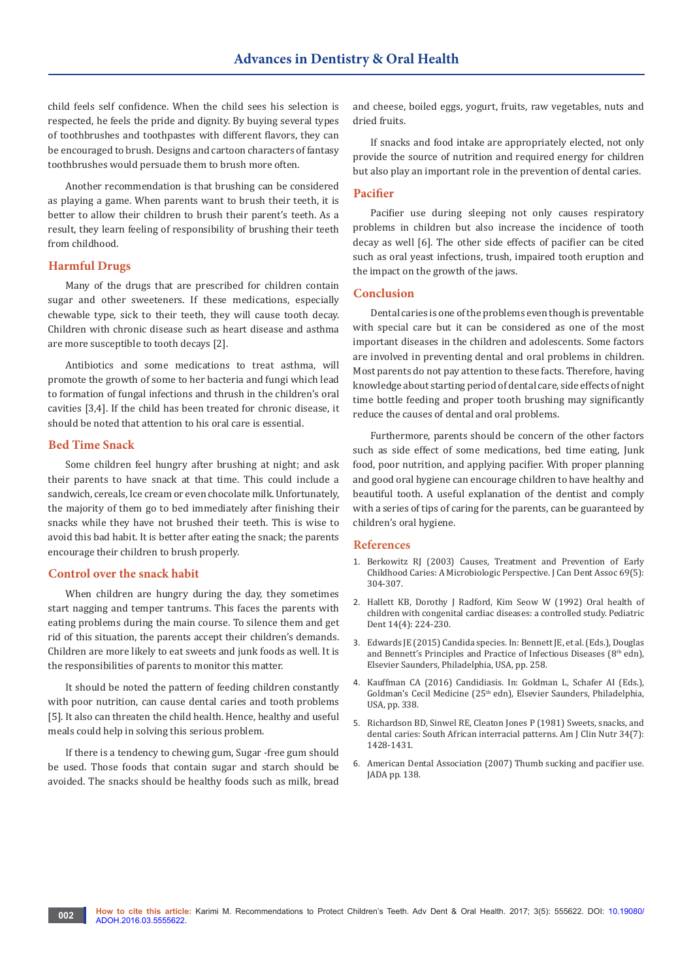child feels self confidence. When the child sees his selection is respected, he feels the pride and dignity. By buying several types of toothbrushes and toothpastes with different flavors, they can be encouraged to brush. Designs and cartoon characters of fantasy toothbrushes would persuade them to brush more often.

Another recommendation is that brushing can be considered as playing a game. When parents want to brush their teeth, it is better to allow their children to brush their parent's teeth. As a result, they learn feeling of responsibility of brushing their teeth from childhood.

#### **Harmful Drugs**

Many of the drugs that are prescribed for children contain sugar and other sweeteners. If these medications, especially chewable type, sick to their teeth, they will cause tooth decay. Children with chronic disease such as heart disease and asthma are more susceptible to tooth decays [2].

Antibiotics and some medications to treat asthma, will promote the growth of some to her bacteria and fungi which lead to formation of fungal infections and thrush in the children's oral cavities [3,4]. If the child has been treated for chronic disease, it should be noted that attention to his oral care is essential.

#### **Bed Time Snack**

Some children feel hungry after brushing at night; and ask their parents to have snack at that time. This could include a sandwich, cereals, Ice cream or even chocolate milk. Unfortunately, the majority of them go to bed immediately after finishing their snacks while they have not brushed their teeth. This is wise to avoid this bad habit. It is better after eating the snack; the parents encourage their children to brush properly.

#### **Control over the snack habit**

When children are hungry during the day, they sometimes start nagging and temper tantrums. This faces the parents with eating problems during the main course. To silence them and get rid of this situation, the parents accept their children's demands. Children are more likely to eat sweets and junk foods as well. It is the responsibilities of parents to monitor this matter.

It should be noted the pattern of feeding children constantly with poor nutrition, can cause dental caries and tooth problems [5]. It also can threaten the child health. Hence, healthy and useful meals could help in solving this serious problem.

If there is a tendency to chewing gum, Sugar -free gum should be used. Those foods that contain sugar and starch should be avoided. The snacks should be healthy foods such as milk, bread and cheese, boiled eggs, yogurt, fruits, raw vegetables, nuts and dried fruits.

If snacks and food intake are appropriately elected, not only provide the source of nutrition and required energy for children but also play an important role in the prevention of dental caries.

## **Pacifier**

Pacifier use during sleeping not only causes respiratory problems in children but also increase the incidence of tooth decay as well [6]. The other side effects of pacifier can be cited such as oral yeast infections, trush, impaired tooth eruption and the impact on the growth of the jaws.

#### **Conclusion**

Dental caries is one of the problems even though is preventable with special care but it can be considered as one of the most important diseases in the children and adolescents. Some factors are involved in preventing dental and oral problems in children. Most parents do not pay attention to these facts. Therefore, having knowledge about starting period of dental care, side effects of night time bottle feeding and proper tooth brushing may significantly reduce the causes of dental and oral problems.

Furthermore, parents should be concern of the other factors such as side effect of some medications, bed time eating, Junk food, poor nutrition, and applying pacifier. With proper planning and good oral hygiene can encourage children to have healthy and beautiful tooth. A useful explanation of the dentist and comply with a series of tips of caring for the parents, can be guaranteed by children's oral hygiene.

#### **References**

- 1. [Berkowitz RJ \(2003\) Causes, Treatment and Prevention of Early](https://www.ncbi.nlm.nih.gov/pubmed/12734024)  [Childhood Caries: A Microbiologic Perspective. J Can Dent Assoc 69\(5\):](https://www.ncbi.nlm.nih.gov/pubmed/12734024)  [304-307.](https://www.ncbi.nlm.nih.gov/pubmed/12734024)
- 2. Hallett KB, Dorothy J Radford, Kim Seow W (1992) Oral health of [children with congenital cardiac diseases: a controlled study. Pediatric](https://www.ncbi.nlm.nih.gov/pubmed/1303520)  [Dent 14\(4\): 224-230.](https://www.ncbi.nlm.nih.gov/pubmed/1303520)
- 3. [Edwards JE \(2015\) Candida species. In: Bennett JE, et al. \(Eds.\), Douglas](https://www.us.elsevierhealth.com/mandell-douglas-and-bennetts-principles-and-practice-of-infectious-diseases-9781455748013.html)  and Bennett's Principles and Practice of Infectious Diseases ( $8<sup>th</sup>$  edn), [Elsevier Saunders, Philadelphia, USA, pp. 258.](https://www.us.elsevierhealth.com/mandell-douglas-and-bennetts-principles-and-practice-of-infectious-diseases-9781455748013.html)
- 4. [Kauffman CA \(2016\) Candidiasis. In: Goldman L, Schafer AI \(Eds.\),](https://www.elsevier.ca/ISBN/9781455750177/GoldmanCecil-Medicine-2Volume-Set)  Goldman's Cecil Medicine (25<sup>th</sup> edn), Elsevier Saunders, Philadelphia, [USA, pp. 338.](https://www.elsevier.ca/ISBN/9781455750177/GoldmanCecil-Medicine-2Volume-Set)
- 5. [Richardson BD, Sinwel RE, Cleaton Jones P \(1981\) Sweets, snacks, and](http://ajcn.nutrition.org/content/34/7/1428.abstract)  [dental caries: South African interracial patterns. Am J Clin Nutr 34\(7\):](http://ajcn.nutrition.org/content/34/7/1428.abstract)  [1428-1431.](http://ajcn.nutrition.org/content/34/7/1428.abstract)
- 6. [American Dental Association \(2007\) Thumb sucking and pacifier use.](http://jada.ada.org/article/S0002-8177(14)63176-7/abstract)  [JADA pp. 138.](http://jada.ada.org/article/S0002-8177(14)63176-7/abstract)